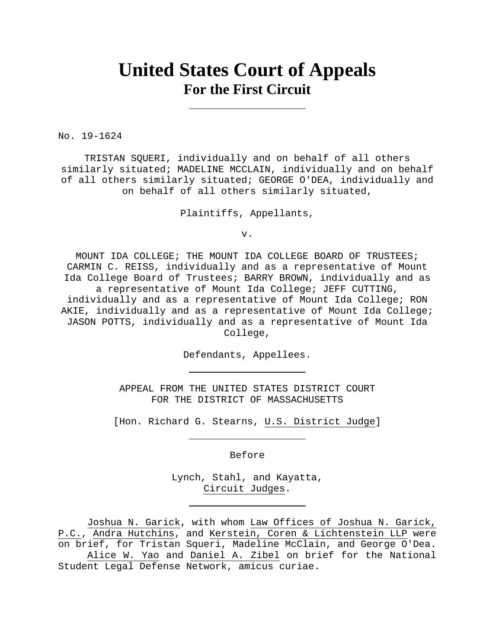# **United States Court of Appeals For the First Circuit**

No. 19-1624

TRISTAN SQUERI, individually and on behalf of all others similarly situated; MADELINE MCCLAIN, individually and on behalf of all others similarly situated; GEORGE O'DEA, individually and on behalf of all others similarly situated,

Plaintiffs, Appellants,

v.

MOUNT IDA COLLEGE; THE MOUNT IDA COLLEGE BOARD OF TRUSTEES; CARMIN C. REISS, individually and as a representative of Mount Ida College Board of Trustees; BARRY BROWN, individually and as a representative of Mount Ida College; JEFF CUTTING, individually and as a representative of Mount Ida College; RON AKIE, individually and as a representative of Mount Ida College; JASON POTTS, individually and as a representative of Mount Ida College,

Defendants, Appellees.

APPEAL FROM THE UNITED STATES DISTRICT COURT FOR THE DISTRICT OF MASSACHUSETTS

[Hon. Richard G. Stearns, U.S. District Judge]

Before

Lynch, Stahl, and Kayatta, Circuit Judges.

Joshua N. Garick, with whom Law Offices of Joshua N. Garick, P.C., Andra Hutchins, and Kerstein, Coren & Lichtenstein LLP were on brief, for Tristan Squeri, Madeline McClain, and George O'Dea.

Alice W. Yao and Daniel A. Zibel on brief for the National Student Legal Defense Network, amicus curiae.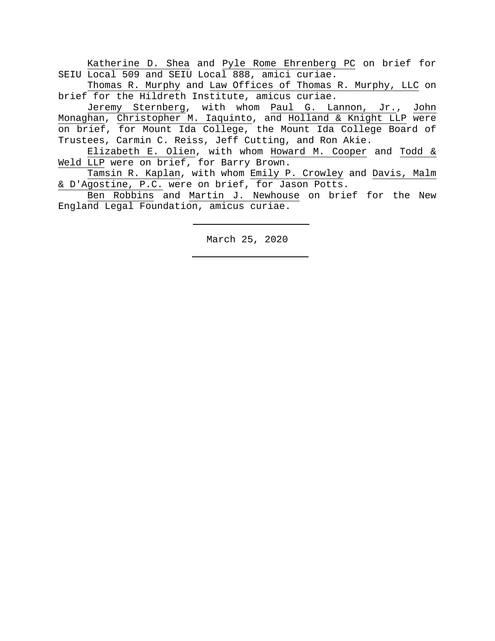Katherine D. Shea and Pyle Rome Ehrenberg PC on brief for SEIU Local 509 and SEIU Local 888, amici curiae.

Thomas R. Murphy and Law Offices of Thomas R. Murphy, LLC on brief for the Hildreth Institute, amicus curiae.

 Jeremy Sternberg, with whom Paul G. Lannon, Jr., John Monaghan, Christopher M. Iaquinto, and Holland & Knight LLP were on brief, for Mount Ida College, the Mount Ida College Board of Trustees, Carmin C. Reiss, Jeff Cutting, and Ron Akie.

 Elizabeth E. Olien, with whom Howard M. Cooper and Todd & Weld LLP were on brief, for Barry Brown.

Tamsin R. Kaplan, with whom Emily P. Crowley and Davis, Malm & D'Agostine, P.C. were on brief, for Jason Potts.

Ben Robbins and Martin J. Newhouse on brief for the New England Legal Foundation, amicus curiae.

March 25, 2020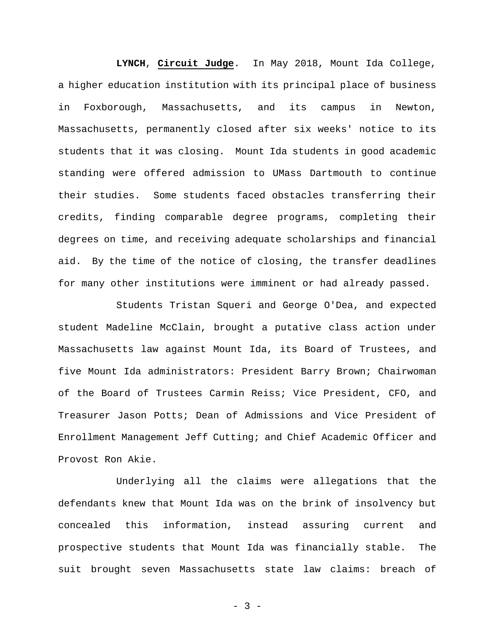**LYNCH**, **Circuit Judge**. In May 2018, Mount Ida College, a higher education institution with its principal place of business in Foxborough, Massachusetts, and its campus in Newton, Massachusetts, permanently closed after six weeks' notice to its students that it was closing. Mount Ida students in good academic standing were offered admission to UMass Dartmouth to continue their studies. Some students faced obstacles transferring their credits, finding comparable degree programs, completing their degrees on time, and receiving adequate scholarships and financial aid. By the time of the notice of closing, the transfer deadlines for many other institutions were imminent or had already passed.

Students Tristan Squeri and George O'Dea, and expected student Madeline McClain, brought a putative class action under Massachusetts law against Mount Ida, its Board of Trustees, and five Mount Ida administrators: President Barry Brown; Chairwoman of the Board of Trustees Carmin Reiss; Vice President, CFO, and Treasurer Jason Potts; Dean of Admissions and Vice President of Enrollment Management Jeff Cutting; and Chief Academic Officer and Provost Ron Akie.

Underlying all the claims were allegations that the defendants knew that Mount Ida was on the brink of insolvency but concealed this information, instead assuring current and prospective students that Mount Ida was financially stable. The suit brought seven Massachusetts state law claims: breach of

- 3 -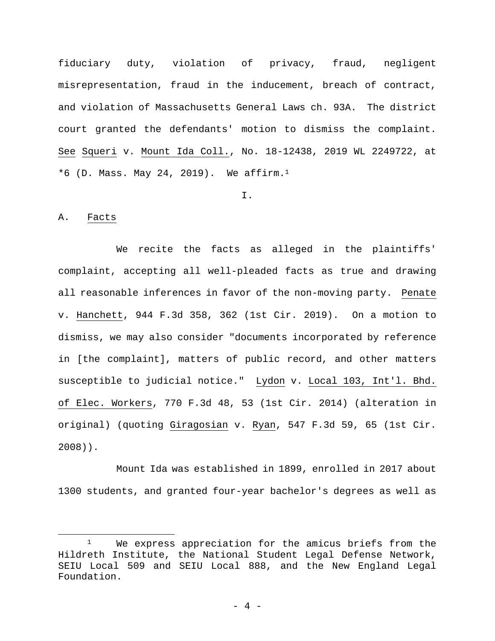fiduciary duty, violation of privacy, fraud, negligent misrepresentation, fraud in the inducement, breach of contract, and violation of Massachusetts General Laws ch. 93A. The district court granted the defendants' motion to dismiss the complaint. See Squeri v. Mount Ida Coll., No. 18-12438, 2019 WL 2249722, at  $*6$  (D. Mass. May 24, 2019). We affirm.<sup>1</sup>

I.

#### A. Facts

 $\overline{a}$ 

We recite the facts as alleged in the plaintiffs' complaint, accepting all well-pleaded facts as true and drawing all reasonable inferences in favor of the non-moving party. Penate v. Hanchett, 944 F.3d 358, 362 (1st Cir. 2019). On a motion to dismiss, we may also consider "documents incorporated by reference in [the complaint], matters of public record, and other matters susceptible to judicial notice." Lydon v. Local 103, Int'l. Bhd. of Elec. Workers, 770 F.3d 48, 53 (1st Cir. 2014) (alteration in original) (quoting Giragosian v. Ryan, 547 F.3d 59, 65 (1st Cir. 2008)).

Mount Ida was established in 1899, enrolled in 2017 about 1300 students, and granted four-year bachelor's degrees as well as

<sup>&</sup>lt;sup>1</sup> We express appreciation for the amicus briefs from the Hildreth Institute, the National Student Legal Defense Network, SEIU Local 509 and SEIU Local 888, and the New England Legal Foundation.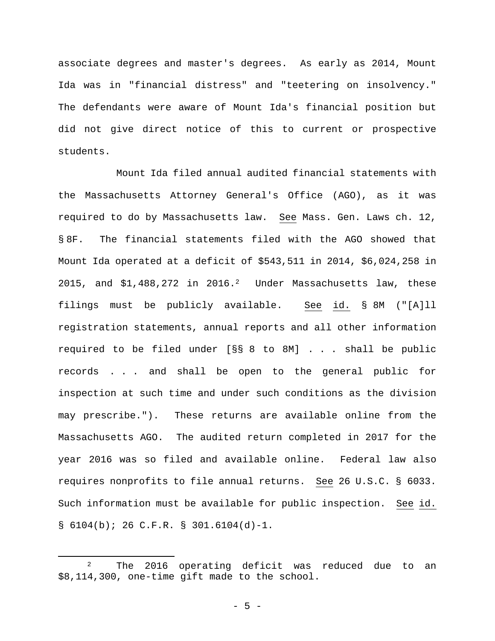associate degrees and master's degrees. As early as 2014, Mount Ida was in "financial distress" and "teetering on insolvency." The defendants were aware of Mount Ida's financial position but did not give direct notice of this to current or prospective students.

Mount Ida filed annual audited financial statements with the Massachusetts Attorney General's Office (AGO), as it was required to do by Massachusetts law. See Mass. Gen. Laws ch. 12, § 8F. The financial statements filed with the AGO showed that Mount Ida operated at a deficit of \$543,511 in 2014, \$6,024,258 in 2015, and  $$1,488,272$  in 2016.<sup>2</sup> Under Massachusetts law, these filings must be publicly available. See id. § 8M ("[A]ll registration statements, annual reports and all other information required to be filed under [§§ 8 to 8M] . . . shall be public records . . . and shall be open to the general public for inspection at such time and under such conditions as the division may prescribe."). These returns are available online from the Massachusetts AGO. The audited return completed in 2017 for the year 2016 was so filed and available online. Federal law also requires nonprofits to file annual returns. See 26 U.S.C. § 6033. Such information must be available for public inspection. See id.  $\S$  6104(b); 26 C.F.R.  $\S$  301.6104(d)-1.

<sup>&</sup>lt;sup>2</sup> The 2016 operating deficit was reduced due to an \$8,114,300, one-time gift made to the school.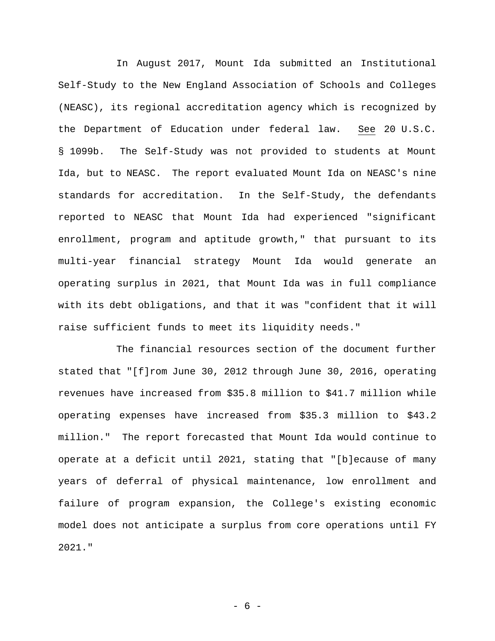In August 2017, Mount Ida submitted an Institutional Self-Study to the New England Association of Schools and Colleges (NEASC), its regional accreditation agency which is recognized by the Department of Education under federal law. See 20 U.S.C. § 1099b. The Self-Study was not provided to students at Mount Ida, but to NEASC. The report evaluated Mount Ida on NEASC's nine standards for accreditation. In the Self-Study, the defendants reported to NEASC that Mount Ida had experienced "significant enrollment, program and aptitude growth," that pursuant to its multi-year financial strategy Mount Ida would generate an operating surplus in 2021, that Mount Ida was in full compliance with its debt obligations, and that it was "confident that it will raise sufficient funds to meet its liquidity needs."

The financial resources section of the document further stated that "[f]rom June 30, 2012 through June 30, 2016, operating revenues have increased from \$35.8 million to \$41.7 million while operating expenses have increased from \$35.3 million to \$43.2 million." The report forecasted that Mount Ida would continue to operate at a deficit until 2021, stating that "[b]ecause of many years of deferral of physical maintenance, low enrollment and failure of program expansion, the College's existing economic model does not anticipate a surplus from core operations until FY 2021."

- 6 -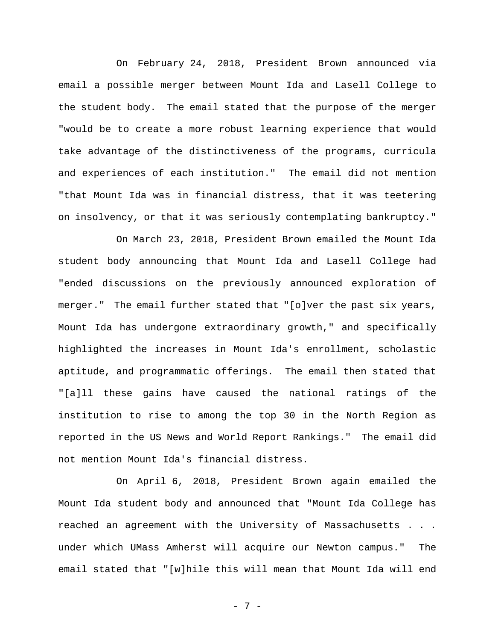On February 24, 2018, President Brown announced via email a possible merger between Mount Ida and Lasell College to the student body. The email stated that the purpose of the merger "would be to create a more robust learning experience that would take advantage of the distinctiveness of the programs, curricula and experiences of each institution." The email did not mention "that Mount Ida was in financial distress, that it was teetering on insolvency, or that it was seriously contemplating bankruptcy."

On March 23, 2018, President Brown emailed the Mount Ida student body announcing that Mount Ida and Lasell College had "ended discussions on the previously announced exploration of merger." The email further stated that "[o]ver the past six years, Mount Ida has undergone extraordinary growth," and specifically highlighted the increases in Mount Ida's enrollment, scholastic aptitude, and programmatic offerings. The email then stated that "[a]ll these gains have caused the national ratings of the institution to rise to among the top 30 in the North Region as reported in the US News and World Report Rankings." The email did not mention Mount Ida's financial distress.

On April 6, 2018, President Brown again emailed the Mount Ida student body and announced that "Mount Ida College has reached an agreement with the University of Massachusetts . . . under which UMass Amherst will acquire our Newton campus." The email stated that "[w]hile this will mean that Mount Ida will end

- 7 -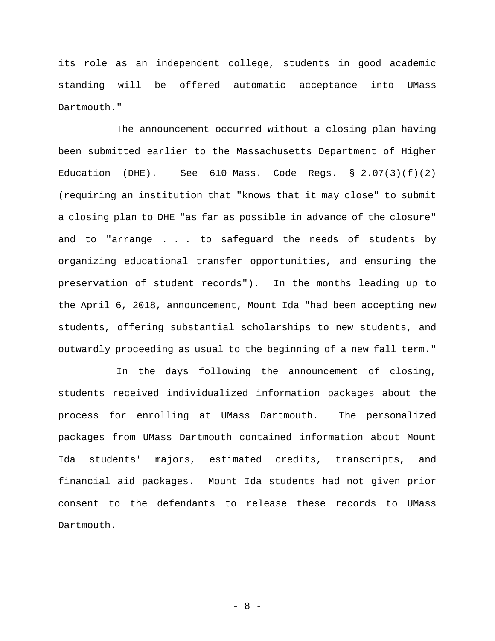its role as an independent college, students in good academic standing will be offered automatic acceptance into UMass Dartmouth."

The announcement occurred without a closing plan having been submitted earlier to the Massachusetts Department of Higher Education (DHE). See  $610$  Mass. Code Regs. §  $2.07(3)(f)(2)$ (requiring an institution that "knows that it may close" to submit a closing plan to DHE "as far as possible in advance of the closure" and to "arrange . . . to safeguard the needs of students by organizing educational transfer opportunities, and ensuring the preservation of student records"). In the months leading up to the April 6, 2018, announcement, Mount Ida "had been accepting new students, offering substantial scholarships to new students, and outwardly proceeding as usual to the beginning of a new fall term."

In the days following the announcement of closing, students received individualized information packages about the process for enrolling at UMass Dartmouth. The personalized packages from UMass Dartmouth contained information about Mount Ida students' majors, estimated credits, transcripts, and financial aid packages. Mount Ida students had not given prior consent to the defendants to release these records to UMass Dartmouth.

- 8 -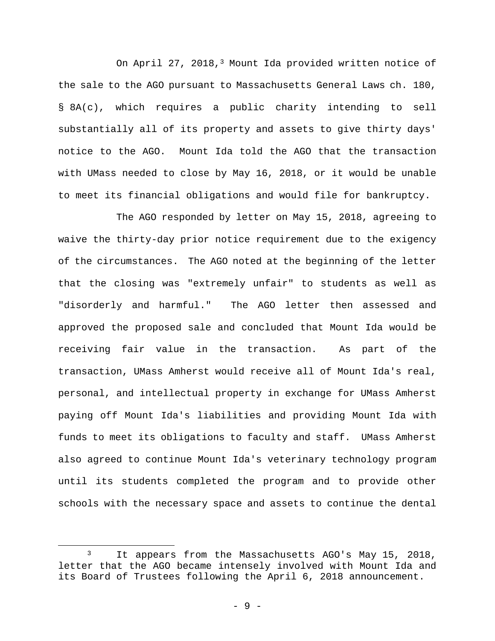On April 27, 2018,3 Mount Ida provided written notice of the sale to the AGO pursuant to Massachusetts General Laws ch. 180, § 8A(c), which requires a public charity intending to sell substantially all of its property and assets to give thirty days' notice to the AGO. Mount Ida told the AGO that the transaction with UMass needed to close by May 16, 2018, or it would be unable to meet its financial obligations and would file for bankruptcy.

The AGO responded by letter on May 15, 2018, agreeing to waive the thirty-day prior notice requirement due to the exigency of the circumstances. The AGO noted at the beginning of the letter that the closing was "extremely unfair" to students as well as "disorderly and harmful." The AGO letter then assessed and approved the proposed sale and concluded that Mount Ida would be receiving fair value in the transaction. As part of the transaction, UMass Amherst would receive all of Mount Ida's real, personal, and intellectual property in exchange for UMass Amherst paying off Mount Ida's liabilities and providing Mount Ida with funds to meet its obligations to faculty and staff. UMass Amherst also agreed to continue Mount Ida's veterinary technology program until its students completed the program and to provide other schools with the necessary space and assets to continue the dental

<sup>&</sup>lt;sup>3</sup> It appears from the Massachusetts AGO's May 15, 2018, letter that the AGO became intensely involved with Mount Ida and its Board of Trustees following the April 6, 2018 announcement.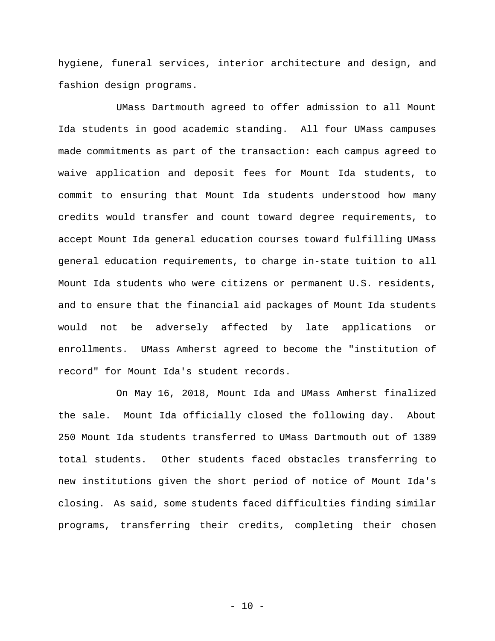hygiene, funeral services, interior architecture and design, and fashion design programs.

UMass Dartmouth agreed to offer admission to all Mount Ida students in good academic standing. All four UMass campuses made commitments as part of the transaction: each campus agreed to waive application and deposit fees for Mount Ida students, to commit to ensuring that Mount Ida students understood how many credits would transfer and count toward degree requirements, to accept Mount Ida general education courses toward fulfilling UMass general education requirements, to charge in-state tuition to all Mount Ida students who were citizens or permanent U.S. residents, and to ensure that the financial aid packages of Mount Ida students would not be adversely affected by late applications or enrollments. UMass Amherst agreed to become the "institution of record" for Mount Ida's student records.

 On May 16, 2018, Mount Ida and UMass Amherst finalized the sale. Mount Ida officially closed the following day. About 250 Mount Ida students transferred to UMass Dartmouth out of 1389 total students. Other students faced obstacles transferring to new institutions given the short period of notice of Mount Ida's closing. As said, some students faced difficulties finding similar programs, transferring their credits, completing their chosen

 $- 10 -$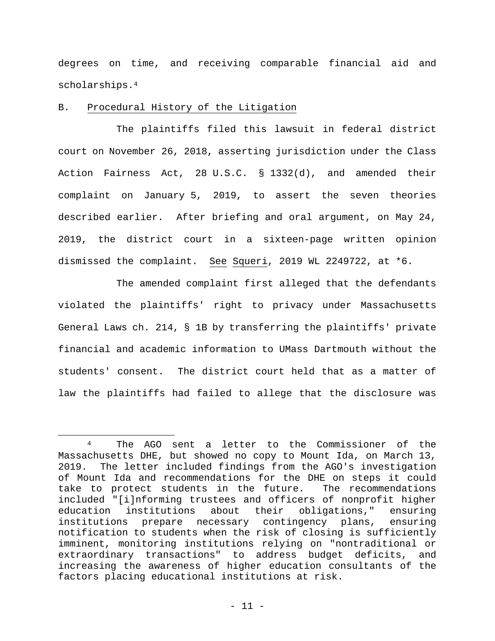degrees on time, and receiving comparable financial aid and scholarships.4

### B. Procedural History of the Litigation

 $\overline{a}$ 

 The plaintiffs filed this lawsuit in federal district court on November 26, 2018, asserting jurisdiction under the Class Action Fairness Act, 28 U.S.C. § 1332(d), and amended their complaint on January 5, 2019, to assert the seven theories described earlier. After briefing and oral argument, on May 24, 2019, the district court in a sixteen-page written opinion dismissed the complaint. See Squeri, 2019 WL 2249722, at \*6.

 The amended complaint first alleged that the defendants violated the plaintiffs' right to privacy under Massachusetts General Laws ch. 214, § 1B by transferring the plaintiffs' private financial and academic information to UMass Dartmouth without the students' consent. The district court held that as a matter of law the plaintiffs had failed to allege that the disclosure was

<sup>4</sup> The AGO sent a letter to the Commissioner of the Massachusetts DHE, but showed no copy to Mount Ida, on March 13, 2019. The letter included findings from the AGO's investigation of Mount Ida and recommendations for the DHE on steps it could take to protect students in the future. The recommendations included "[i]nforming trustees and officers of nonprofit higher education institutions about their obligations," ensuring institutions prepare necessary contingency plans, ensuring notification to students when the risk of closing is sufficiently imminent, monitoring institutions relying on "nontraditional or extraordinary transactions" to address budget deficits, and increasing the awareness of higher education consultants of the factors placing educational institutions at risk.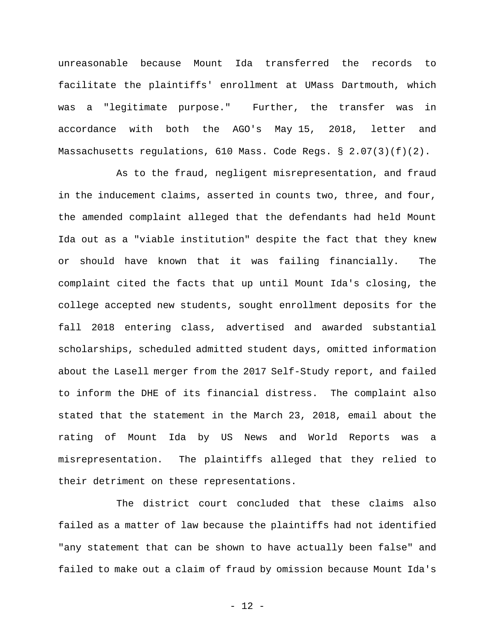unreasonable because Mount Ida transferred the records to facilitate the plaintiffs' enrollment at UMass Dartmouth, which was a "legitimate purpose." Further, the transfer was in accordance with both the AGO's May 15, 2018, letter and Massachusetts regulations, 610 Mass. Code Regs. § 2.07(3)(f)(2).

 As to the fraud, negligent misrepresentation, and fraud in the inducement claims, asserted in counts two, three, and four, the amended complaint alleged that the defendants had held Mount Ida out as a "viable institution" despite the fact that they knew or should have known that it was failing financially. The complaint cited the facts that up until Mount Ida's closing, the college accepted new students, sought enrollment deposits for the fall 2018 entering class, advertised and awarded substantial scholarships, scheduled admitted student days, omitted information about the Lasell merger from the 2017 Self-Study report, and failed to inform the DHE of its financial distress. The complaint also stated that the statement in the March 23, 2018, email about the rating of Mount Ida by US News and World Reports was a misrepresentation. The plaintiffs alleged that they relied to their detriment on these representations.

The district court concluded that these claims also failed as a matter of law because the plaintiffs had not identified "any statement that can be shown to have actually been false" and failed to make out a claim of fraud by omission because Mount Ida's

- 12 -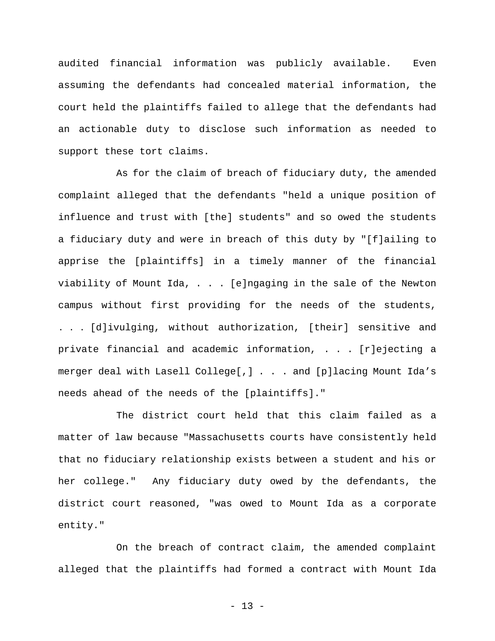audited financial information was publicly available. Even assuming the defendants had concealed material information, the court held the plaintiffs failed to allege that the defendants had an actionable duty to disclose such information as needed to support these tort claims.

As for the claim of breach of fiduciary duty, the amended complaint alleged that the defendants "held a unique position of influence and trust with [the] students" and so owed the students a fiduciary duty and were in breach of this duty by "[f]ailing to apprise the [plaintiffs] in a timely manner of the financial viability of Mount Ida, . . . [e]ngaging in the sale of the Newton campus without first providing for the needs of the students, . . . [d]ivulging, without authorization, [their] sensitive and private financial and academic information, . . . [r]ejecting a merger deal with Lasell College[,] . . . and [p]lacing Mount Ida's needs ahead of the needs of the [plaintiffs]."

The district court held that this claim failed as a matter of law because "Massachusetts courts have consistently held that no fiduciary relationship exists between a student and his or her college." Any fiduciary duty owed by the defendants, the district court reasoned, "was owed to Mount Ida as a corporate entity."

On the breach of contract claim, the amended complaint alleged that the plaintiffs had formed a contract with Mount Ida

- 13 -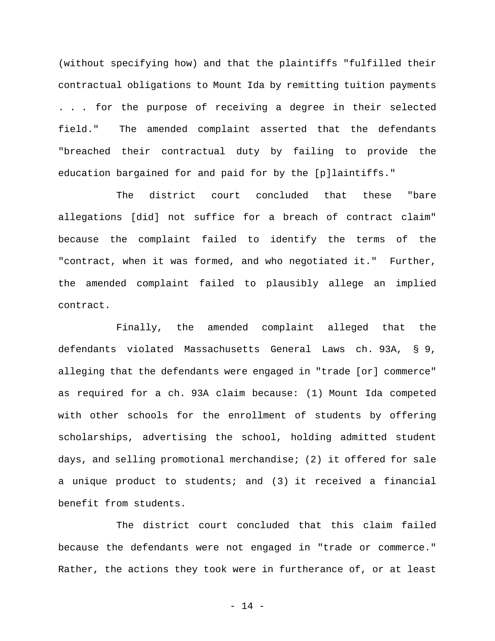(without specifying how) and that the plaintiffs "fulfilled their contractual obligations to Mount Ida by remitting tuition payments . . . for the purpose of receiving a degree in their selected field." The amended complaint asserted that the defendants "breached their contractual duty by failing to provide the education bargained for and paid for by the [p]laintiffs."

The district court concluded that these "bare allegations [did] not suffice for a breach of contract claim" because the complaint failed to identify the terms of the "contract, when it was formed, and who negotiated it." Further, the amended complaint failed to plausibly allege an implied contract.

 Finally, the amended complaint alleged that the defendants violated Massachusetts General Laws ch. 93A, § 9, alleging that the defendants were engaged in "trade [or] commerce" as required for a ch. 93A claim because: (1) Mount Ida competed with other schools for the enrollment of students by offering scholarships, advertising the school, holding admitted student days, and selling promotional merchandise; (2) it offered for sale a unique product to students; and (3) it received a financial benefit from students.

The district court concluded that this claim failed because the defendants were not engaged in "trade or commerce." Rather, the actions they took were in furtherance of, or at least

- 14 -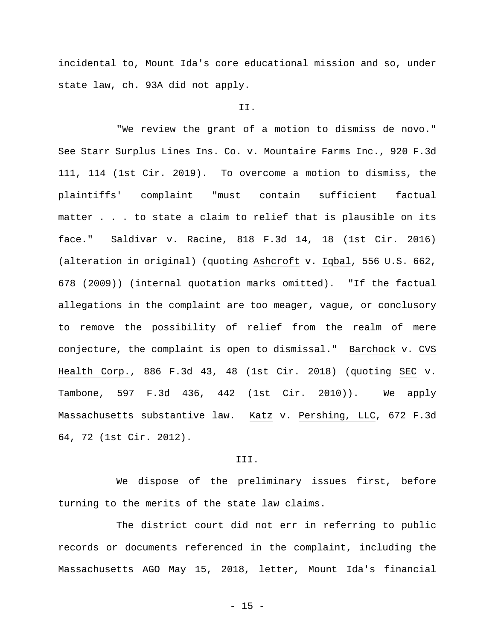incidental to, Mount Ida's core educational mission and so, under state law, ch. 93A did not apply.

#### II.

"We review the grant of a motion to dismiss de novo." See Starr Surplus Lines Ins. Co. v. Mountaire Farms Inc., 920 F.3d 111, 114 (1st Cir. 2019). To overcome a motion to dismiss, the plaintiffs' complaint "must contain sufficient factual matter . . . to state a claim to relief that is plausible on its face." Saldivar v. Racine, 818 F.3d 14, 18 (1st Cir. 2016) (alteration in original) (quoting Ashcroft v. Iqbal, 556 U.S. 662, 678 (2009)) (internal quotation marks omitted). "If the factual allegations in the complaint are too meager, vague, or conclusory to remove the possibility of relief from the realm of mere conjecture, the complaint is open to dismissal." Barchock v. CVS Health Corp., 886 F.3d 43, 48 (1st Cir. 2018) (quoting SEC v. Tambone, 597 F.3d 436, 442 (1st Cir. 2010)). We apply Massachusetts substantive law. Katz v. Pershing, LLC, 672 F.3d 64, 72 (1st Cir. 2012).

#### III.

We dispose of the preliminary issues first, before turning to the merits of the state law claims.

The district court did not err in referring to public records or documents referenced in the complaint, including the Massachusetts AGO May 15, 2018, letter, Mount Ida's financial

 $- 15 -$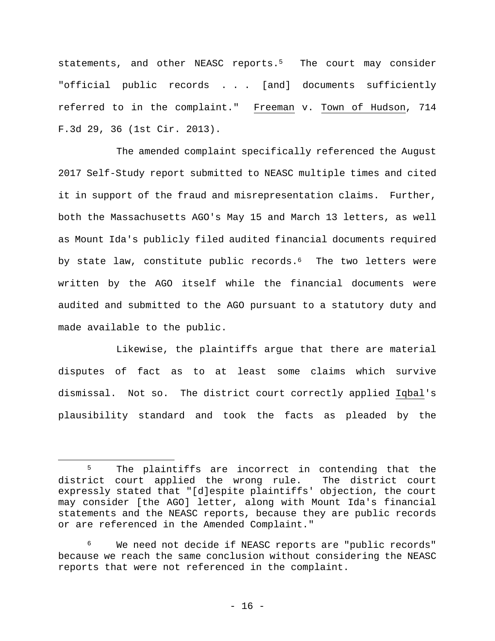statements, and other NEASC reports.<sup>5</sup> The court may consider "official public records . . . [and] documents sufficiently referred to in the complaint." Freeman v. Town of Hudson, 714 F.3d 29, 36 (1st Cir. 2013).

The amended complaint specifically referenced the August 2017 Self-Study report submitted to NEASC multiple times and cited it in support of the fraud and misrepresentation claims. Further, both the Massachusetts AGO's May 15 and March 13 letters, as well as Mount Ida's publicly filed audited financial documents required by state law, constitute public records.<sup>6</sup> The two letters were written by the AGO itself while the financial documents were audited and submitted to the AGO pursuant to a statutory duty and made available to the public.

Likewise, the plaintiffs argue that there are material disputes of fact as to at least some claims which survive dismissal. Not so. The district court correctly applied Iqbal's plausibility standard and took the facts as pleaded by the

<sup>&</sup>lt;sup>5</sup> The plaintiffs are incorrect in contending that the district court applied the wrong rule.The district court expressly stated that "[d]espite plaintiffs' objection, the court may consider [the AGO] letter, along with Mount Ida's financial statements and the NEASC reports, because they are public records or are referenced in the Amended Complaint."

<sup>6</sup> We need not decide if NEASC reports are "public records" because we reach the same conclusion without considering the NEASC reports that were not referenced in the complaint.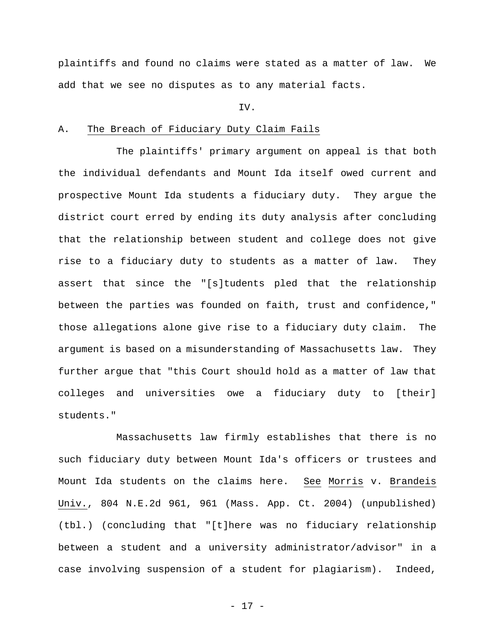plaintiffs and found no claims were stated as a matter of law. We add that we see no disputes as to any material facts.

#### IV.

#### A. The Breach of Fiduciary Duty Claim Fails

The plaintiffs' primary argument on appeal is that both the individual defendants and Mount Ida itself owed current and prospective Mount Ida students a fiduciary duty. They argue the district court erred by ending its duty analysis after concluding that the relationship between student and college does not give rise to a fiduciary duty to students as a matter of law. They assert that since the "[s]tudents pled that the relationship between the parties was founded on faith, trust and confidence," those allegations alone give rise to a fiduciary duty claim. The argument is based on a misunderstanding of Massachusetts law. They further argue that "this Court should hold as a matter of law that colleges and universities owe a fiduciary duty to [their] students."

 Massachusetts law firmly establishes that there is no such fiduciary duty between Mount Ida's officers or trustees and Mount Ida students on the claims here. See Morris v. Brandeis Univ., 804 N.E.2d 961, 961 (Mass. App. Ct. 2004) (unpublished) (tbl.) (concluding that "[t]here was no fiduciary relationship between a student and a university administrator/advisor" in a case involving suspension of a student for plagiarism). Indeed,

- 17 -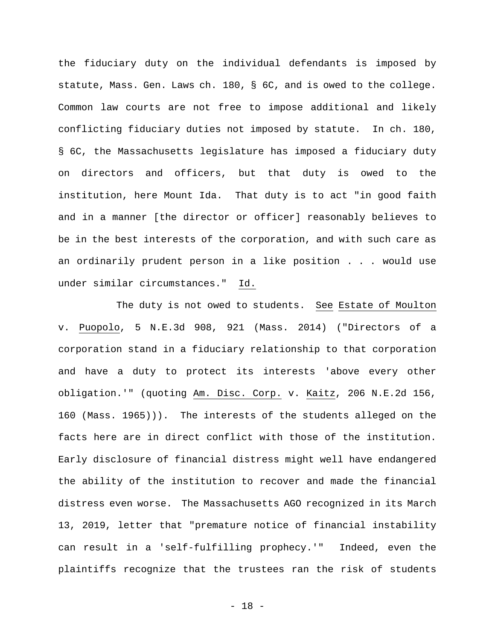the fiduciary duty on the individual defendants is imposed by statute, Mass. Gen. Laws ch. 180, § 6C, and is owed to the college. Common law courts are not free to impose additional and likely conflicting fiduciary duties not imposed by statute. In ch. 180, § 6C, the Massachusetts legislature has imposed a fiduciary duty on directors and officers, but that duty is owed to the institution, here Mount Ida. That duty is to act "in good faith and in a manner [the director or officer] reasonably believes to be in the best interests of the corporation, and with such care as an ordinarily prudent person in a like position . . . would use under similar circumstances." Id.

 The duty is not owed to students. See Estate of Moulton v. Puopolo, 5 N.E.3d 908, 921 (Mass. 2014) ("Directors of a corporation stand in a fiduciary relationship to that corporation and have a duty to protect its interests 'above every other obligation.'" (quoting Am. Disc. Corp. v. Kaitz, 206 N.E.2d 156, 160 (Mass. 1965))). The interests of the students alleged on the facts here are in direct conflict with those of the institution. Early disclosure of financial distress might well have endangered the ability of the institution to recover and made the financial distress even worse. The Massachusetts AGO recognized in its March 13, 2019, letter that "premature notice of financial instability can result in a 'self-fulfilling prophecy.'" Indeed, even the plaintiffs recognize that the trustees ran the risk of students

- 18 -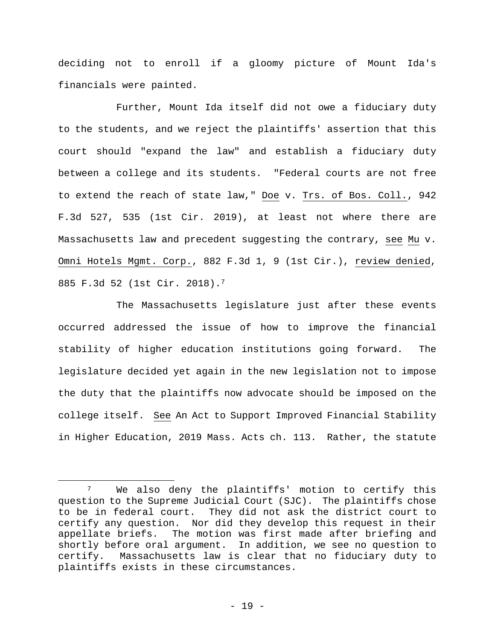deciding not to enroll if a gloomy picture of Mount Ida's financials were painted.

Further, Mount Ida itself did not owe a fiduciary duty to the students, and we reject the plaintiffs' assertion that this court should "expand the law" and establish a fiduciary duty between a college and its students. "Federal courts are not free to extend the reach of state law," Doe v. Trs. of Bos. Coll., 942 F.3d 527, 535 (1st Cir. 2019), at least not where there are Massachusetts law and precedent suggesting the contrary, see Mu v. Omni Hotels Mgmt. Corp., 882 F.3d 1, 9 (1st Cir.), review denied, 885 F.3d 52 (1st Cir. 2018).7

The Massachusetts legislature just after these events occurred addressed the issue of how to improve the financial stability of higher education institutions going forward. The legislature decided yet again in the new legislation not to impose the duty that the plaintiffs now advocate should be imposed on the college itself. See An Act to Support Improved Financial Stability in Higher Education, 2019 Mass. Acts ch. 113. Rather, the statute

<sup>&</sup>lt;sup>7</sup> We also deny the plaintiffs' motion to certify this question to the Supreme Judicial Court (SJC). The plaintiffs chose to be in federal court. They did not ask the district court to certify any question. Nor did they develop this request in their appellate briefs. The motion was first made after briefing and shortly before oral argument. In addition, we see no question to certify. Massachusetts law is clear that no fiduciary duty to plaintiffs exists in these circumstances.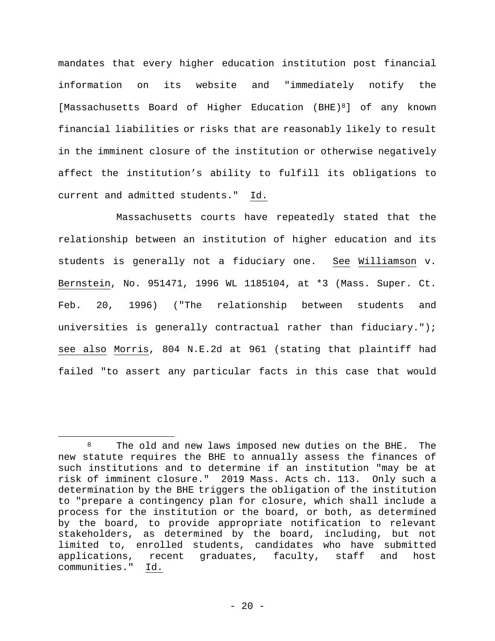mandates that every higher education institution post financial information on its website and "immediately notify the [Massachusetts Board of Higher Education (BHE)8] of any known financial liabilities or risks that are reasonably likely to result in the imminent closure of the institution or otherwise negatively affect the institution's ability to fulfill its obligations to current and admitted students." Id.

Massachusetts courts have repeatedly stated that the relationship between an institution of higher education and its students is generally not a fiduciary one. See Williamson v. Bernstein, No. 951471, 1996 WL 1185104, at \*3 (Mass. Super. Ct. Feb. 20, 1996) ("The relationship between students and universities is generally contractual rather than fiduciary."); see also Morris, 804 N.E.2d at 961 (stating that plaintiff had failed "to assert any particular facts in this case that would

 $\overline{a}$ 8 The old and new laws imposed new duties on the BHE. The new statute requires the BHE to annually assess the finances of such institutions and to determine if an institution "may be at risk of imminent closure." 2019 Mass. Acts ch. 113. Only such a determination by the BHE triggers the obligation of the institution to "prepare a contingency plan for closure, which shall include a process for the institution or the board, or both, as determined by the board, to provide appropriate notification to relevant stakeholders, as determined by the board, including, but not limited to, enrolled students, candidates who have submitted applications, recent graduates, faculty, staff and host communities." Id.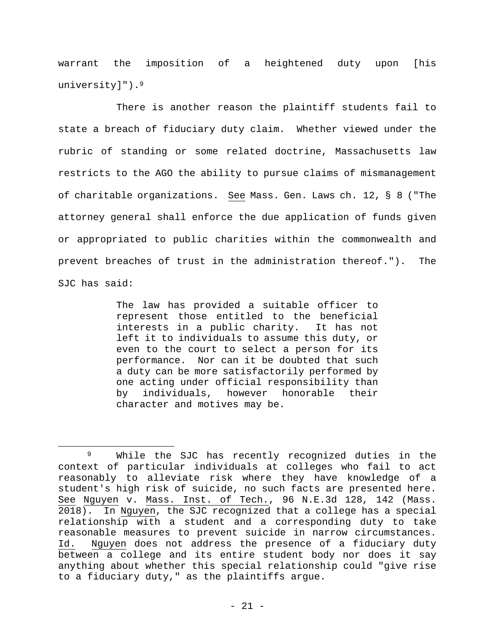warrant the imposition of a heightened duty upon [his university]").<sup>9</sup>

There is another reason the plaintiff students fail to state a breach of fiduciary duty claim. Whether viewed under the rubric of standing or some related doctrine, Massachusetts law restricts to the AGO the ability to pursue claims of mismanagement of charitable organizations. See Mass. Gen. Laws ch. 12, § 8 ("The attorney general shall enforce the due application of funds given or appropriated to public charities within the commonwealth and prevent breaches of trust in the administration thereof."). The SJC has said:

> The law has provided a suitable officer to represent those entitled to the beneficial interests in a public charity. It has not left it to individuals to assume this duty, or even to the court to select a person for its performance. Nor can it be doubted that such a duty can be more satisfactorily performed by one acting under official responsibility than by individuals, however honorable their character and motives may be.

<sup>9</sup> While the SJC has recently recognized duties in the context of particular individuals at colleges who fail to act reasonably to alleviate risk where they have knowledge of a student's high risk of suicide, no such facts are presented here. See Nguyen v. Mass. Inst. of Tech., 96 N.E.3d 128, 142 (Mass. 2018). In Nguyen, the SJC recognized that a college has a special relationship with a student and a corresponding duty to take reasonable measures to prevent suicide in narrow circumstances. Id. Nguyen does not address the presence of a fiduciary duty between a college and its entire student body nor does it say anything about whether this special relationship could "give rise to a fiduciary duty," as the plaintiffs argue.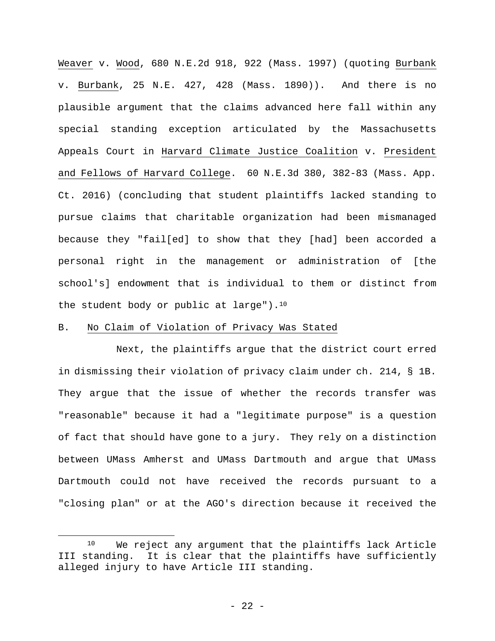Weaver v. Wood, 680 N.E.2d 918, 922 (Mass. 1997) (quoting Burbank v. Burbank, 25 N.E. 427, 428 (Mass. 1890)). And there is no plausible argument that the claims advanced here fall within any special standing exception articulated by the Massachusetts Appeals Court in Harvard Climate Justice Coalition v. President and Fellows of Harvard College. 60 N.E.3d 380, 382-83 (Mass. App. Ct. 2016) (concluding that student plaintiffs lacked standing to pursue claims that charitable organization had been mismanaged because they "fail[ed] to show that they [had] been accorded a personal right in the management or administration of [the school's] endowment that is individual to them or distinct from the student body or public at large").<sup>10</sup>

#### B. No Claim of Violation of Privacy Was Stated

 $\overline{a}$ 

 Next, the plaintiffs argue that the district court erred in dismissing their violation of privacy claim under ch. 214, § 1B. They argue that the issue of whether the records transfer was "reasonable" because it had a "legitimate purpose" is a question of fact that should have gone to a jury. They rely on a distinction between UMass Amherst and UMass Dartmouth and argue that UMass Dartmouth could not have received the records pursuant to a "closing plan" or at the AGO's direction because it received the

<sup>10</sup> We reject any argument that the plaintiffs lack Article III standing. It is clear that the plaintiffs have sufficiently alleged injury to have Article III standing.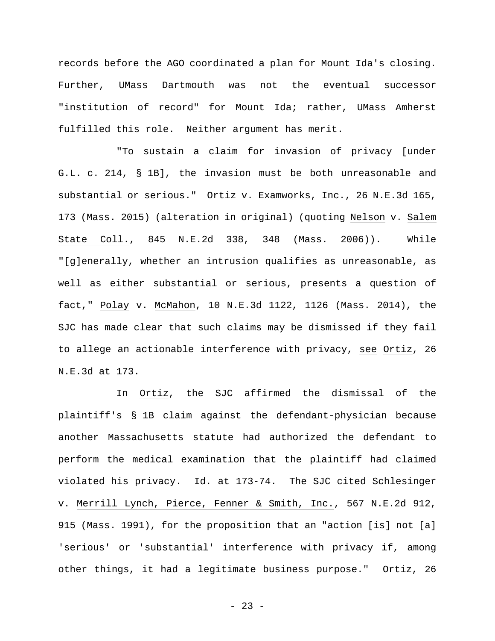records before the AGO coordinated a plan for Mount Ida's closing. Further, UMass Dartmouth was not the eventual successor "institution of record" for Mount Ida; rather, UMass Amherst fulfilled this role. Neither argument has merit.

"To sustain a claim for invasion of privacy [under G.L. c. 214, § 1B], the invasion must be both unreasonable and substantial or serious." Ortiz v. Examworks, Inc., 26 N.E.3d 165, 173 (Mass. 2015) (alteration in original) (quoting Nelson v. Salem State Coll., 845 N.E.2d 338, 348 (Mass. 2006)). While "[g]enerally, whether an intrusion qualifies as unreasonable, as well as either substantial or serious, presents a question of fact," Polay v. McMahon, 10 N.E.3d 1122, 1126 (Mass. 2014), the SJC has made clear that such claims may be dismissed if they fail to allege an actionable interference with privacy, see Ortiz, 26 N.E.3d at 173.

In Ortiz, the SJC affirmed the dismissal of the plaintiff's § 1B claim against the defendant-physician because another Massachusetts statute had authorized the defendant to perform the medical examination that the plaintiff had claimed violated his privacy. Id. at 173-74. The SJC cited Schlesinger v. Merrill Lynch, Pierce, Fenner & Smith, Inc., 567 N.E.2d 912, 915 (Mass. 1991), for the proposition that an "action [is] not [a] 'serious' or 'substantial' interference with privacy if, among other things, it had a legitimate business purpose." Ortiz, 26

- 23 -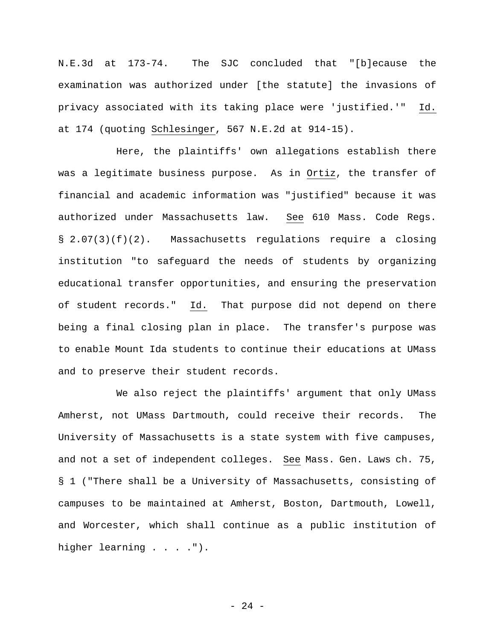N.E.3d at 173-74. The SJC concluded that "[b]ecause the examination was authorized under [the statute] the invasions of privacy associated with its taking place were 'justified.'" Id. at 174 (quoting Schlesinger, 567 N.E.2d at 914-15).

Here, the plaintiffs' own allegations establish there was a legitimate business purpose. As in Ortiz, the transfer of financial and academic information was "justified" because it was authorized under Massachusetts law. See 610 Mass. Code Regs. § 2.07(3)(f)(2). Massachusetts regulations require a closing institution "to safeguard the needs of students by organizing educational transfer opportunities, and ensuring the preservation of student records." Id. That purpose did not depend on there being a final closing plan in place. The transfer's purpose was to enable Mount Ida students to continue their educations at UMass and to preserve their student records.

We also reject the plaintiffs' argument that only UMass Amherst, not UMass Dartmouth, could receive their records. The University of Massachusetts is a state system with five campuses, and not a set of independent colleges. See Mass. Gen. Laws ch. 75, § 1 ("There shall be a University of Massachusetts, consisting of campuses to be maintained at Amherst, Boston, Dartmouth, Lowell, and Worcester, which shall continue as a public institution of higher learning . . . . ").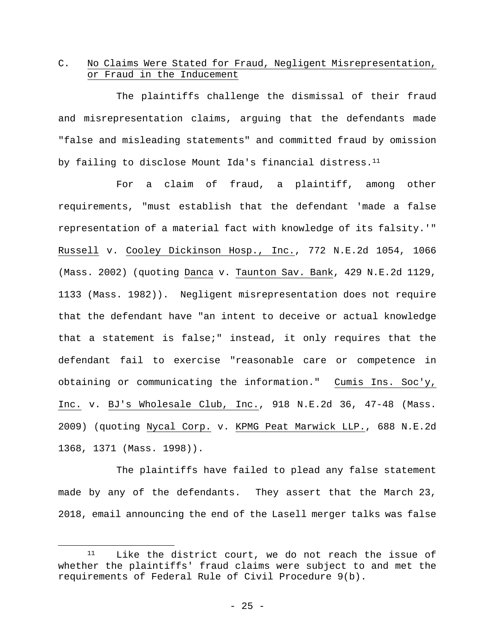## C. No Claims Were Stated for Fraud, Negligent Misrepresentation, or Fraud in the Inducement

 The plaintiffs challenge the dismissal of their fraud and misrepresentation claims, arguing that the defendants made "false and misleading statements" and committed fraud by omission by failing to disclose Mount Ida's financial distress.<sup>11</sup>

 For a claim of fraud, a plaintiff, among other requirements, "must establish that the defendant 'made a false representation of a material fact with knowledge of its falsity.'" Russell v. Cooley Dickinson Hosp., Inc., 772 N.E.2d 1054, 1066 (Mass. 2002) (quoting Danca v. Taunton Sav. Bank, 429 N.E.2d 1129, 1133 (Mass. 1982)). Negligent misrepresentation does not require that the defendant have "an intent to deceive or actual knowledge that a statement is false;" instead, it only requires that the defendant fail to exercise "reasonable care or competence in obtaining or communicating the information." Cumis Ins. Soc'y, Inc. v. BJ's Wholesale Club, Inc., 918 N.E.2d 36, 47-48 (Mass. 2009) (quoting Nycal Corp. v. KPMG Peat Marwick LLP., 688 N.E.2d 1368, 1371 (Mass. 1998)).

 The plaintiffs have failed to plead any false statement made by any of the defendants. They assert that the March 23, 2018, email announcing the end of the Lasell merger talks was false

<sup>11</sup> Like the district court, we do not reach the issue of whether the plaintiffs' fraud claims were subject to and met the requirements of Federal Rule of Civil Procedure 9(b).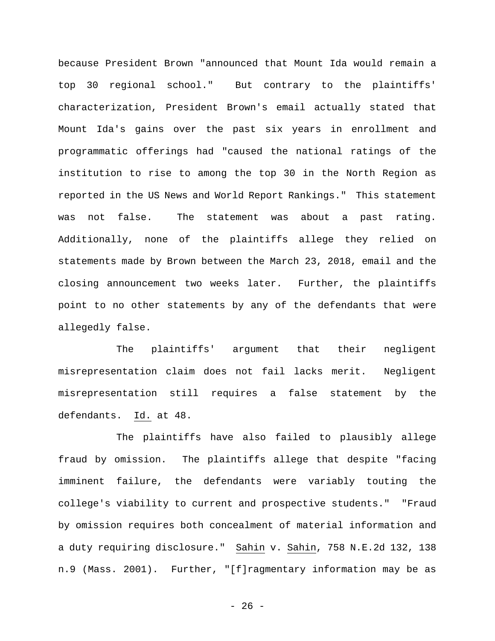because President Brown "announced that Mount Ida would remain a top 30 regional school." But contrary to the plaintiffs' characterization, President Brown's email actually stated that Mount Ida's gains over the past six years in enrollment and programmatic offerings had "caused the national ratings of the institution to rise to among the top 30 in the North Region as reported in the US News and World Report Rankings." This statement was not false. The statement was about a past rating. Additionally, none of the plaintiffs allege they relied on statements made by Brown between the March 23, 2018, email and the closing announcement two weeks later. Further, the plaintiffs point to no other statements by any of the defendants that were allegedly false.

 The plaintiffs' argument that their negligent misrepresentation claim does not fail lacks merit. Negligent misrepresentation still requires a false statement by the defendants. Id. at 48.

The plaintiffs have also failed to plausibly allege fraud by omission. The plaintiffs allege that despite "facing imminent failure, the defendants were variably touting the college's viability to current and prospective students." "Fraud by omission requires both concealment of material information and a duty requiring disclosure." Sahin v. Sahin, 758 N.E.2d 132, 138 n.9 (Mass. 2001). Further, "[f]ragmentary information may be as

- 26 -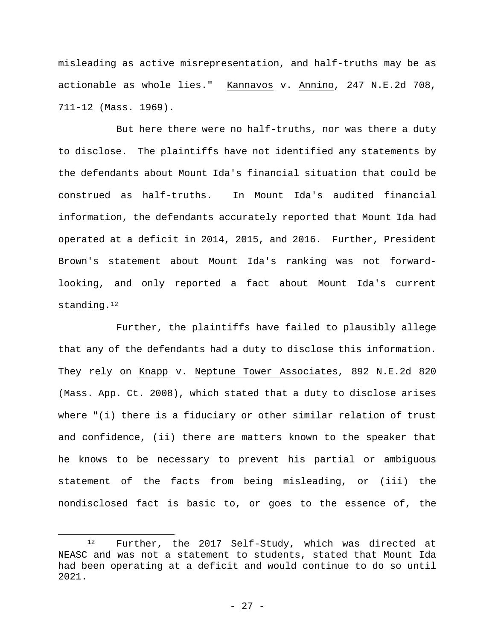misleading as active misrepresentation, and half-truths may be as actionable as whole lies." Kannavos v. Annino, 247 N.E.2d 708, 711-12 (Mass. 1969).

But here there were no half-truths, nor was there a duty to disclose. The plaintiffs have not identified any statements by the defendants about Mount Ida's financial situation that could be construed as half-truths. In Mount Ida's audited financial information, the defendants accurately reported that Mount Ida had operated at a deficit in 2014, 2015, and 2016. Further, President Brown's statement about Mount Ida's ranking was not forwardlooking, and only reported a fact about Mount Ida's current standing.<sup>12</sup>

Further, the plaintiffs have failed to plausibly allege that any of the defendants had a duty to disclose this information. They rely on Knapp v. Neptune Tower Associates, 892 N.E.2d 820 (Mass. App. Ct. 2008), which stated that a duty to disclose arises where "(i) there is a fiduciary or other similar relation of trust and confidence, (ii) there are matters known to the speaker that he knows to be necessary to prevent his partial or ambiguous statement of the facts from being misleading, or (iii) the nondisclosed fact is basic to, or goes to the essence of, the

<sup>12</sup> Further, the 2017 Self-Study, which was directed at NEASC and was not a statement to students, stated that Mount Ida had been operating at a deficit and would continue to do so until 2021.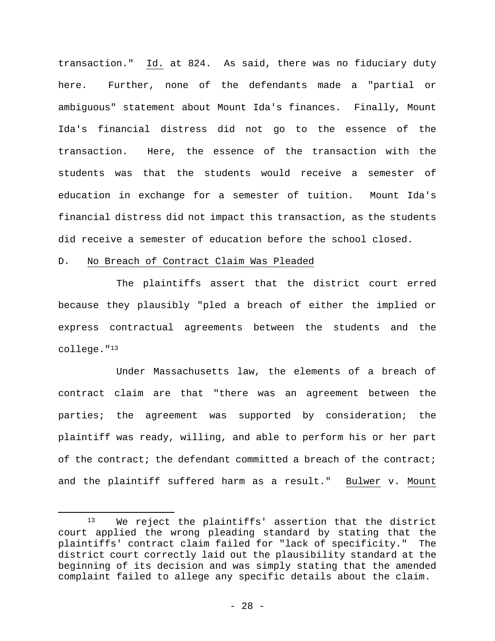transaction." Id. at 824. As said, there was no fiduciary duty here. Further, none of the defendants made a "partial or ambiguous" statement about Mount Ida's finances. Finally, Mount Ida's financial distress did not go to the essence of the transaction. Here, the essence of the transaction with the students was that the students would receive a semester of education in exchange for a semester of tuition. Mount Ida's financial distress did not impact this transaction, as the students did receive a semester of education before the school closed.

#### D. No Breach of Contract Claim Was Pleaded

 $\overline{a}$ 

 The plaintiffs assert that the district court erred because they plausibly "pled a breach of either the implied or express contractual agreements between the students and the college."13

Under Massachusetts law, the elements of a breach of contract claim are that "there was an agreement between the parties; the agreement was supported by consideration; the plaintiff was ready, willing, and able to perform his or her part of the contract; the defendant committed a breach of the contract; and the plaintiff suffered harm as a result." Bulwer v. Mount

<sup>13</sup> We reject the plaintiffs' assertion that the district court applied the wrong pleading standard by stating that the plaintiffs' contract claim failed for "lack of specificity." The district court correctly laid out the plausibility standard at the beginning of its decision and was simply stating that the amended complaint failed to allege any specific details about the claim.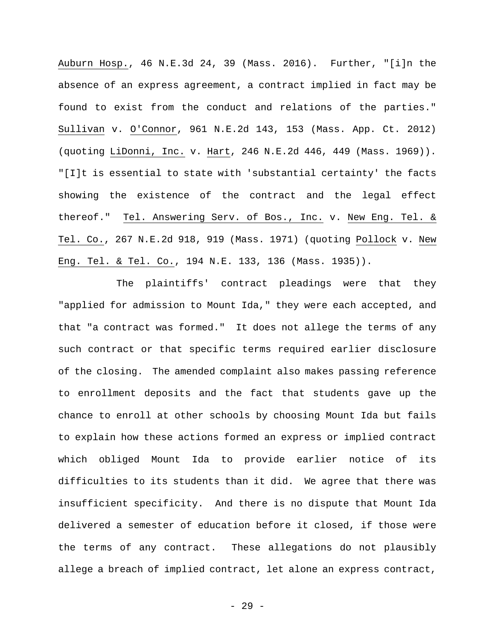Auburn Hosp., 46 N.E.3d 24, 39 (Mass. 2016). Further, "[i]n the absence of an express agreement, a contract implied in fact may be found to exist from the conduct and relations of the parties." Sullivan v. O'Connor, 961 N.E.2d 143, 153 (Mass. App. Ct. 2012) (quoting LiDonni, Inc. v. Hart, 246 N.E.2d 446, 449 (Mass. 1969)). "[I]t is essential to state with 'substantial certainty' the facts showing the existence of the contract and the legal effect thereof." Tel. Answering Serv. of Bos., Inc. v. New Eng. Tel. & Tel. Co., 267 N.E.2d 918, 919 (Mass. 1971) (quoting Pollock v. New Eng. Tel. & Tel. Co., 194 N.E. 133, 136 (Mass. 1935)).

 The plaintiffs' contract pleadings were that they "applied for admission to Mount Ida," they were each accepted, and that "a contract was formed." It does not allege the terms of any such contract or that specific terms required earlier disclosure of the closing. The amended complaint also makes passing reference to enrollment deposits and the fact that students gave up the chance to enroll at other schools by choosing Mount Ida but fails to explain how these actions formed an express or implied contract which obliged Mount Ida to provide earlier notice of its difficulties to its students than it did. We agree that there was insufficient specificity. And there is no dispute that Mount Ida delivered a semester of education before it closed, if those were the terms of any contract. These allegations do not plausibly allege a breach of implied contract, let alone an express contract,

- 29 -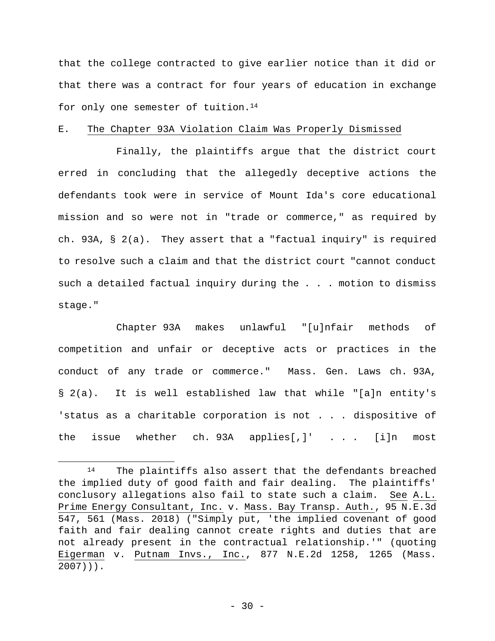that the college contracted to give earlier notice than it did or that there was a contract for four years of education in exchange for only one semester of tuition.<sup>14</sup>

#### E. The Chapter 93A Violation Claim Was Properly Dismissed

 Finally, the plaintiffs argue that the district court erred in concluding that the allegedly deceptive actions the defendants took were in service of Mount Ida's core educational mission and so were not in "trade or commerce," as required by ch. 93A, § 2(a). They assert that a "factual inquiry" is required to resolve such a claim and that the district court "cannot conduct such a detailed factual inquiry during the . . . motion to dismiss stage."

 Chapter 93A makes unlawful "[u]nfair methods of competition and unfair or deceptive acts or practices in the conduct of any trade or commerce." Mass. Gen. Laws ch. 93A, § 2(a). It is well established law that while "[a]n entity's 'status as a charitable corporation is not . . . dispositive of the issue whether ch. 93A applies[,]' . . . [i]n most

1

<sup>14</sup> The plaintiffs also assert that the defendants breached the implied duty of good faith and fair dealing. The plaintiffs' conclusory allegations also fail to state such a claim. See A.L. Prime Energy Consultant, Inc. v. Mass. Bay Transp. Auth., 95 N.E.3d 547, 561 (Mass. 2018) ("Simply put, 'the implied covenant of good faith and fair dealing cannot create rights and duties that are not already present in the contractual relationship.'" (quoting Eigerman v. Putnam Invs., Inc., 877 N.E.2d 1258, 1265 (Mass. 2007))).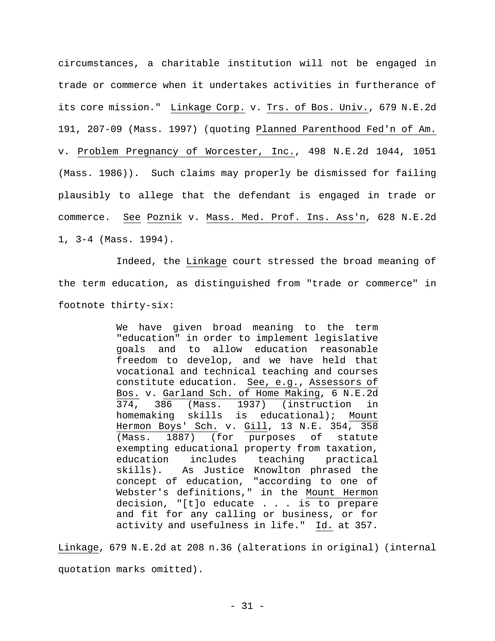circumstances, a charitable institution will not be engaged in trade or commerce when it undertakes activities in furtherance of its core mission." Linkage Corp. v. Trs. of Bos. Univ., 679 N.E.2d 191, 207-09 (Mass. 1997) (quoting Planned Parenthood Fed'n of Am. v. Problem Pregnancy of Worcester, Inc., 498 N.E.2d 1044, 1051 (Mass. 1986)). Such claims may properly be dismissed for failing plausibly to allege that the defendant is engaged in trade or commerce. See Poznik v. Mass. Med. Prof. Ins. Ass'n, 628 N.E.2d 1, 3-4 (Mass. 1994).

Indeed, the Linkage court stressed the broad meaning of the term education, as distinguished from "trade or commerce" in footnote thirty-six:

> We have given broad meaning to the term "education" in order to implement legislative goals and to allow education reasonable freedom to develop, and we have held that vocational and technical teaching and courses constitute education. See, e.g., Assessors of Bos. v. Garland Sch. of Home Making, 6 N.E.2d 374, 386 (Mass. 1937) (instruction in homemaking skills is educational); Mount Hermon Boys' Sch. v. Gill, 13 N.E. 354, 358 (Mass. 1887) (for purposes of statute exempting educational property from taxation, education includes teaching practical skills). As Justice Knowlton phrased the concept of education, "according to one of Webster's definitions," in the Mount Hermon decision, "[t]o educate . . . is to prepare and fit for any calling or business, or for activity and usefulness in life." Id. at 357.

Linkage, 679 N.E.2d at 208 n.36 (alterations in original) (internal quotation marks omitted).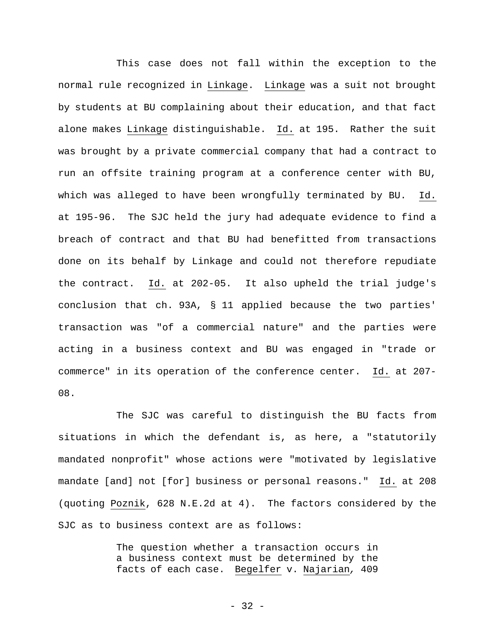This case does not fall within the exception to the normal rule recognized in Linkage. Linkage was a suit not brought by students at BU complaining about their education, and that fact alone makes Linkage distinguishable. Id. at 195. Rather the suit was brought by a private commercial company that had a contract to run an offsite training program at a conference center with BU, which was alleged to have been wrongfully terminated by BU. Id. at 195-96. The SJC held the jury had adequate evidence to find a breach of contract and that BU had benefitted from transactions done on its behalf by Linkage and could not therefore repudiate the contract. Id. at 202-05. It also upheld the trial judge's conclusion that ch. 93A, § 11 applied because the two parties' transaction was "of a commercial nature" and the parties were acting in a business context and BU was engaged in "trade or commerce" in its operation of the conference center. Id. at 207- 08.

The SJC was careful to distinguish the BU facts from situations in which the defendant is, as here, a "statutorily mandated nonprofit" whose actions were "motivated by legislative mandate [and] not [for] business or personal reasons." Id. at 208 (quoting Poznik, 628 N.E.2d at 4). The factors considered by the SJC as to business context are as follows:

> The question whether a transaction occurs in a business context must be determined by the facts of each case. Begelfer v. Najarian*,* 409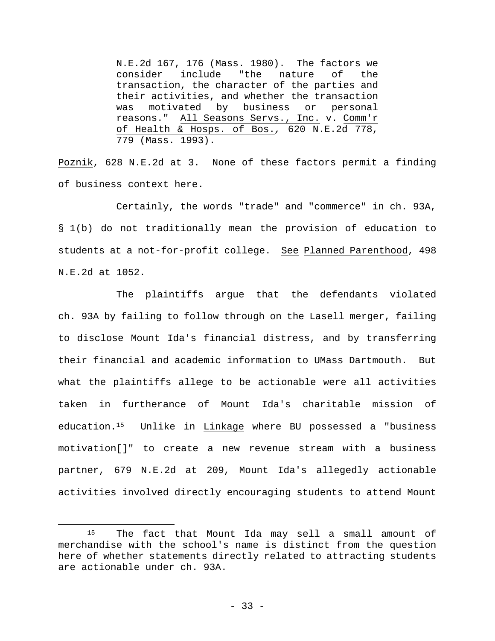N.E.2d 167, 176 (Mass. 1980). The factors we consider include "the nature of the transaction, the character of the parties and their activities, and whether the transaction was motivated by business or personal reasons." All Seasons Servs., Inc. v. Comm'r of Health & Hosps. of Bos.*,* 620 N.E.2d 778, 779 (Mass. 1993).

Poznik, 628 N.E.2d at 3. None of these factors permit a finding of business context here.

Certainly, the words "trade" and "commerce" in ch. 93A, § 1(b) do not traditionally mean the provision of education to students at a not-for-profit college. See Planned Parenthood, 498 N.E.2d at 1052.

The plaintiffs argue that the defendants violated ch. 93A by failing to follow through on the Lasell merger, failing to disclose Mount Ida's financial distress, and by transferring their financial and academic information to UMass Dartmouth. But what the plaintiffs allege to be actionable were all activities taken in furtherance of Mount Ida's charitable mission of education.15 Unlike in Linkage where BU possessed a "business motivation[]" to create a new revenue stream with a business partner, 679 N.E.2d at 209, Mount Ida's allegedly actionable activities involved directly encouraging students to attend Mount

<sup>&</sup>lt;sup>15</sup> The fact that Mount Ida may sell a small amount of merchandise with the school's name is distinct from the question here of whether statements directly related to attracting students are actionable under ch. 93A.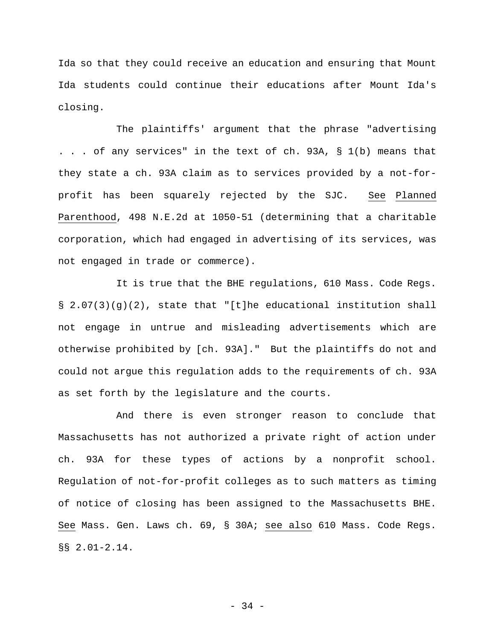Ida so that they could receive an education and ensuring that Mount Ida students could continue their educations after Mount Ida's closing.

The plaintiffs' argument that the phrase "advertising . . . of any services" in the text of ch. 93A, § 1(b) means that they state a ch. 93A claim as to services provided by a not-forprofit has been squarely rejected by the SJC. See Planned Parenthood, 498 N.E.2d at 1050-51 (determining that a charitable corporation, which had engaged in advertising of its services, was not engaged in trade or commerce).

It is true that the BHE regulations, 610 Mass. Code Regs.  $\S$  2.07(3)(g)(2), state that "[t]he educational institution shall not engage in untrue and misleading advertisements which are otherwise prohibited by [ch. 93A]." But the plaintiffs do not and could not argue this regulation adds to the requirements of ch. 93A as set forth by the legislature and the courts.

And there is even stronger reason to conclude that Massachusetts has not authorized a private right of action under ch. 93A for these types of actions by a nonprofit school. Regulation of not-for-profit colleges as to such matters as timing of notice of closing has been assigned to the Massachusetts BHE. See Mass. Gen. Laws ch. 69, § 30A; see also 610 Mass. Code Regs. §§ 2.01-2.14.